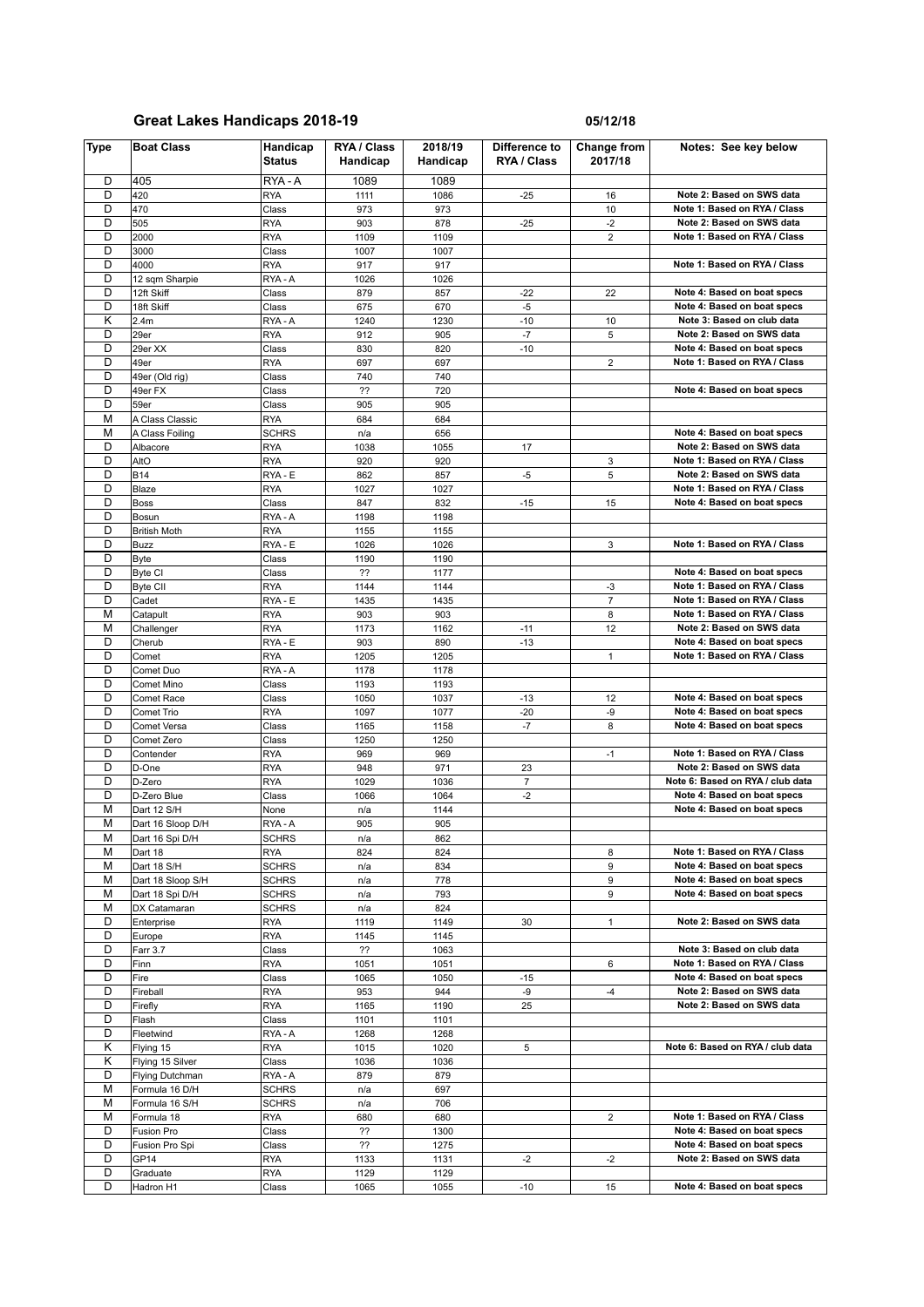| <b>Type</b> | <b>Boat Class</b>                | Handicap<br><b>Status</b> | RYA / Class<br>Handicap | 2018/19<br>Handicap | Difference to<br>RYA / Class | Change from<br>2017/18  | Notes: See key below                                       |
|-------------|----------------------------------|---------------------------|-------------------------|---------------------|------------------------------|-------------------------|------------------------------------------------------------|
| D           | 405                              | RYA-A                     | 1089                    | 1089                |                              |                         |                                                            |
| D           | 420                              | <b>RYA</b>                | 1111                    | 1086                | $-25$                        | 16                      | Note 2: Based on SWS data                                  |
| D           | 470                              | Class                     | 973                     | 973                 |                              | 10                      | Note 1: Based on RYA / Class                               |
| D           | 505                              | <b>RYA</b>                | 903                     | 878                 | $-25$                        | $-2$                    | Note 2: Based on SWS data                                  |
| D           | 2000                             | <b>RYA</b>                | 1109                    | 1109                |                              | $\overline{2}$          | Note 1: Based on RYA / Class                               |
| D<br>D      | 3000                             | Class                     | 1007                    | 1007                |                              |                         |                                                            |
| D           | 4000                             | <b>RYA</b><br>RYA-A       | 917<br>1026             | 917<br>1026         |                              |                         | Note 1: Based on RYA / Class                               |
| D           | 12 sqm Sharpie<br>12ft Skiff     | Class                     | 879                     | 857                 | $-22$                        | 22                      | Note 4: Based on boat specs                                |
| D           | 18ft Skiff                       | Class                     | 675                     | 670                 | $-5$                         |                         | Note 4: Based on boat specs                                |
| Κ           | 2.4m                             | RYA-A                     | 1240                    | 1230                | $-10$                        | 10                      | Note 3: Based on club data                                 |
| D           | 29er                             | <b>RYA</b>                | 912                     | 905                 | $-7$                         | 5                       | Note 2: Based on SWS data                                  |
| D           | 29er XX                          | Class                     | 830                     | 820                 | $-10$                        |                         | Note 4: Based on boat specs                                |
| D           | 49er                             | <b>RYA</b>                | 697                     | 697                 |                              | $\overline{\mathbf{c}}$ | Note 1: Based on RYA / Class                               |
| D           | 49er (Old rig)                   | Class                     | 740                     | 740                 |                              |                         |                                                            |
| D           | 49er FX                          | Class                     | ??                      | 720                 |                              |                         | Note 4: Based on boat specs                                |
| D           | 59er                             | Class                     | 905                     | 905                 |                              |                         |                                                            |
| M           | A Class Classic                  | <b>RYA</b>                | 684                     | 684                 |                              |                         |                                                            |
| М           | A Class Foiling                  | SCHRS                     | n/a                     | 656                 |                              |                         | Note 4: Based on boat specs                                |
| D           | Albacore                         | <b>RYA</b>                | 1038                    | 1055                | 17                           |                         | Note 2: Based on SWS data                                  |
| D<br>D      | AltO<br><b>B14</b>               | <b>RYA</b><br>RYA - E     | 920<br>862              | 920<br>857          |                              | 3<br>5                  | Note 1: Based on RYA / Class<br>Note 2: Based on SWS data  |
| D           | Blaze                            | <b>RYA</b>                | 1027                    | 1027                | $-5$                         |                         | Note 1: Based on RYA / Class                               |
| D           | <b>Boss</b>                      | Class                     | 847                     | 832                 | $-15$                        | 15                      | Note 4: Based on boat specs                                |
| D           | Bosun                            | RYA-A                     | 1198                    | 1198                |                              |                         |                                                            |
| D           | <b>British Moth</b>              | <b>RYA</b>                | 1155                    | 1155                |                              |                         |                                                            |
| D           | Buzz                             | RYA - E                   | 1026                    | 1026                |                              | 3                       | Note 1: Based on RYA / Class                               |
| D           | <b>Byte</b>                      | Class                     | 1190                    | 1190                |                              |                         |                                                            |
| D           | <b>Byte CI</b>                   | Class                     | ??                      | 1177                |                              |                         | Note 4: Based on boat specs                                |
| D           | <b>Byte CII</b>                  | <b>RYA</b>                | 1144                    | 1144                |                              | -3                      | Note 1: Based on RYA / Class                               |
| D           | Cadet                            | RYA - E                   | 1435                    | 1435                |                              | $\overline{7}$          | Note 1: Based on RYA / Class                               |
| M           | Catapult                         | <b>RYA</b>                | 903                     | 903                 |                              | 8                       | Note 1: Based on RYA / Class                               |
| М           | Challenger                       | <b>RYA</b>                | 1173                    | 1162                | $-11$                        | 12                      | Note 2: Based on SWS data                                  |
| D           | Cherub                           | RYA - E                   | 903                     | 890                 | $-13$                        |                         | Note 4: Based on boat specs                                |
| D<br>D      | Comet                            | <b>RYA</b>                | 1205                    | 1205                |                              | $\mathbf{1}$            | Note 1: Based on RYA / Class                               |
| D           | Comet Duo<br>Comet Mino          | RYA-A<br>Class            | 1178<br>1193            | 1178<br>1193        |                              |                         |                                                            |
| D           | Comet Race                       | Class                     | 1050                    | 1037                | $-13$                        | 12                      | Note 4: Based on boat specs                                |
| D           | Comet Trio                       | <b>RYA</b>                | 1097                    | 1077                | $-20$                        | -9                      | Note 4: Based on boat specs                                |
| D           | Comet Versa                      | Class                     | 1165                    | 1158                | $-7$                         | 8                       | Note 4: Based on boat specs                                |
| D           | Comet Zero                       | Class                     | 1250                    | 1250                |                              |                         |                                                            |
| D           | Contender                        | <b>RYA</b>                | 969                     | 969                 |                              | $-1$                    | Note 1: Based on RYA / Class                               |
| D           | D-One                            | <b>RYA</b>                | 948                     | 971                 | 23                           |                         | Note 2: Based on SWS data                                  |
| D           | D-Zero                           | <b>RYA</b>                | 1029                    | 1036                | $\overline{7}$               |                         | Note 6: Based on RYA / club data                           |
| D           | D-Zero Blue                      | Class                     | 1066                    | 1064                | $-2$                         |                         | Note 4: Based on boat specs                                |
| M           | Dart 12 S/H                      | None                      | n/a                     | 1144                |                              |                         | Note 4: Based on boat specs                                |
| М           | Dart 16 Sloop D/H                | RYA-A                     | 905                     | 905                 |                              |                         |                                                            |
| M           | Dart 16 Spi D/H                  | <b>SCHRS</b>              | n/a                     | 862                 |                              |                         |                                                            |
| М           | Dart 18                          | <b>RYA</b>                | 824                     | 824                 |                              | 8                       | Note 1: Based on RYA / Class                               |
| М<br>М      | Dart 18 S/H<br>Dart 18 Sloop S/H | <b>SCHRS</b><br>SCHRS     | n/a<br>n/a              | 834<br>778          |                              | 9<br>9                  | Note 4: Based on boat specs<br>Note 4: Based on boat specs |
| М           | Dart 18 Spi D/H                  | SCHRS                     | n/a                     | 793                 |                              | 9                       | Note 4: Based on boat specs                                |
| М           | DX Catamaran                     | SCHRS                     | n/a                     | 824                 |                              |                         |                                                            |
| D           | Enterprise                       | <b>RYA</b>                | 1119                    | 1149                | 30                           | $\mathbf{1}$            | Note 2: Based on SWS data                                  |
| D           | Europe                           | <b>RYA</b>                | 1145                    | 1145                |                              |                         |                                                            |
| D           | Farr 3.7                         | Class                     | ??                      | 1063                |                              |                         | Note 3: Based on club data                                 |
| D           | Finn                             | <b>RYA</b>                | 1051                    | 1051                |                              | 6                       | Note 1: Based on RYA / Class                               |
| D           | Fire                             | Class                     | 1065                    | 1050                | -15                          |                         | Note 4: Based on boat specs                                |
| D           | Fireball                         | <b>RYA</b>                | 953                     | 944                 | -9                           | -4                      | Note 2: Based on SWS data                                  |
| D           | Firefly                          | <b>RYA</b>                | 1165                    | 1190                | 25                           |                         | Note 2: Based on SWS data                                  |
| D           | Flash                            | Class                     | 1101                    | 1101                |                              |                         |                                                            |
| D           | Fleetwind                        | RYA - A                   | 1268                    | 1268                |                              |                         |                                                            |
| Κ           | Flying 15                        | <b>RYA</b>                | 1015                    | 1020                | 5                            |                         | Note 6: Based on RYA / club data                           |
| Κ           | Flying 15 Silver                 | Class                     | 1036                    | 1036                |                              |                         |                                                            |
| D<br>М      | Flying Dutchman                  | RYA - A<br>SCHRS          | 879                     | 879<br>697          |                              |                         |                                                            |
| М           | Formula 16 D/H<br>Formula 16 S/H | SCHRS                     | n/a<br>n/a              | 706                 |                              |                         |                                                            |
| М           | Formula 18                       | <b>RYA</b>                | 680                     | 680                 |                              | $\overline{2}$          | Note 1: Based on RYA / Class                               |
| D           | Fusion Pro                       | Class                     | ??                      | 1300                |                              |                         | Note 4: Based on boat specs                                |
| D           | Fusion Pro Spi                   | Class                     | ??                      | 1275                |                              |                         | Note 4: Based on boat specs                                |
| D           | GP <sub>14</sub>                 | <b>RYA</b>                | 1133                    | 1131                | $-2$                         | -2                      | Note 2: Based on SWS data                                  |
| D           | Graduate                         | <b>RYA</b>                | 1129                    | 1129                |                              |                         |                                                            |
| D           | Hadron H1                        | Class                     | 1065                    | 1055                | $-10$                        | 15                      | Note 4: Based on boat specs                                |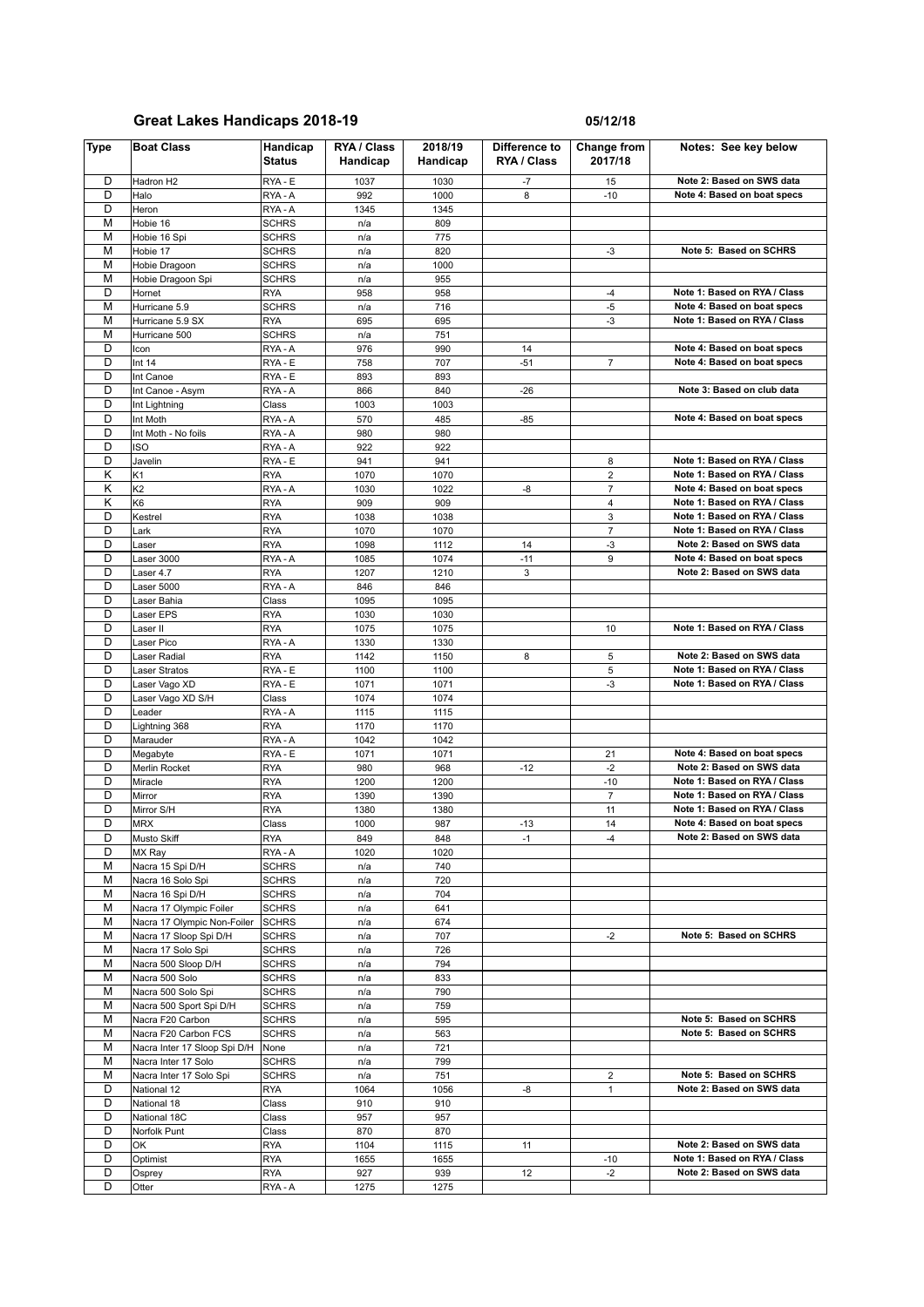| Type   | <b>Boat Class</b>                           | Handicap<br><b>Status</b>    | RYA / Class<br>Handicap | 2018/19<br>Handicap | Difference to<br>RYA / Class | Change from<br>2017/18 | Notes: See key below                                         |
|--------|---------------------------------------------|------------------------------|-------------------------|---------------------|------------------------------|------------------------|--------------------------------------------------------------|
| D      | Hadron H <sub>2</sub>                       | RYA - E                      | 1037                    | 1030                | -7                           | 15                     | Note 2: Based on SWS data                                    |
| D      | Halo                                        | RYA-A                        | 992                     | 1000                | 8                            | $-10$                  | Note 4: Based on boat specs                                  |
| D      | Heron                                       | RYA-A                        | 1345                    | 1345                |                              |                        |                                                              |
| M      | Hobie 16                                    | <b>SCHRS</b>                 | n/a                     | 809                 |                              |                        |                                                              |
| M      | Hobie 16 Spi                                | <b>SCHRS</b>                 | n/a                     | 775                 |                              |                        |                                                              |
| M<br>M | Hobie 17                                    | <b>SCHRS</b>                 | n/a                     | 820<br>1000         |                              | -3                     | Note 5: Based on SCHRS                                       |
| М      | Hobie Dragoon<br>Hobie Dragoon Spi          | <b>SCHRS</b><br><b>SCHRS</b> | n/a<br>n/a              | 955                 |                              |                        |                                                              |
| D      | Hornet                                      | RYA                          | 958                     | 958                 |                              | $-4$                   | Note 1: Based on RYA / Class                                 |
| M      | Hurricane 5.9                               | <b>SCHRS</b>                 | n/a                     | 716                 |                              | $-5$                   | Note 4: Based on boat specs                                  |
| M      | Hurricane 5.9 SX                            | <b>RYA</b>                   | 695                     | 695                 |                              | -3                     | Note 1: Based on RYA / Class                                 |
| M      | Hurricane 500                               | <b>SCHRS</b>                 | n/a                     | 751                 |                              |                        |                                                              |
| D      | Icon                                        | RYA-A                        | 976                     | 990                 | 14                           |                        | Note 4: Based on boat specs                                  |
| D      | Int 14                                      | RYA - E                      | 758                     | 707                 | $-51$                        | $\overline{7}$         | Note 4: Based on boat specs                                  |
| D      | Int Canoe                                   | RYA - E                      | 893                     | 893                 |                              |                        |                                                              |
| D      | Int Canoe - Asym                            | RYA - A                      | 866                     | 840                 | $-26$                        |                        | Note 3: Based on club data                                   |
| D<br>D | Int Lightning                               | Class                        | 1003                    | 1003                |                              |                        |                                                              |
| D      | Int Moth<br>Int Moth - No foils             | RYA-A<br>RYA-A               | 570<br>980              | 485<br>980          | $-85$                        |                        | Note 4: Based on boat specs                                  |
| D      | <b>ISO</b>                                  | RYA-A                        | 922                     | 922                 |                              |                        |                                                              |
| D      | Javelin                                     | RYA - E                      | 941                     | 941                 |                              | 8                      | Note 1: Based on RYA / Class                                 |
| Κ      | K1                                          | <b>RYA</b>                   | 1070                    | 1070                |                              | $\overline{2}$         | Note 1: Based on RYA / Class                                 |
| κ      | K <sub>2</sub>                              | RYA - A                      | 1030                    | 1022                | -8                           | $\overline{7}$         | Note 4: Based on boat specs                                  |
| Κ      | K <sub>6</sub>                              | RYA                          | 909                     | 909                 |                              | $\sqrt{4}$             | Note 1: Based on RYA / Class                                 |
| D      | Kestrel                                     | <b>RYA</b>                   | 1038                    | 1038                |                              | 3                      | Note 1: Based on RYA / Class                                 |
| D      | Lark                                        | <b>RYA</b>                   | 1070                    | 1070                |                              | $\overline{7}$         | Note 1: Based on RYA / Class                                 |
| D      | Laser                                       | <b>RYA</b>                   | 1098                    | 1112                | 14                           | -3                     | Note 2: Based on SWS data                                    |
| D      | Laser 3000                                  | RYA-A                        | 1085                    | 1074                | $-11$                        | $\boldsymbol{9}$       | Note 4: Based on boat specs                                  |
| D      | Laser 4.7                                   | <b>RYA</b>                   | 1207                    | 1210                | 3                            |                        | Note 2: Based on SWS data                                    |
| D      | Laser 5000                                  | RYA-A                        | 846                     | 846                 |                              |                        |                                                              |
| D      | Laser Bahia                                 | Class                        | 1095                    | 1095                |                              |                        |                                                              |
| D<br>D | Laser EPS                                   | <b>RYA</b>                   | 1030                    | 1030                |                              |                        |                                                              |
| D      | aser II<br>Laser Pico                       | <b>RYA</b><br>RYA-A          | 1075<br>1330            | 1075<br>1330        |                              | 10                     | Note 1: Based on RYA / Class                                 |
| D      | aser Radial                                 | <b>RYA</b>                   | 1142                    | 1150                | 8                            | 5                      | Note 2: Based on SWS data                                    |
| D      | Laser Stratos                               | RYA - E                      | 1100                    | 1100                |                              | 5                      | Note 1: Based on RYA / Class                                 |
| D      | aser Vago XD                                | RYA - E                      | 1071                    | 1071                |                              | -3                     | Note 1: Based on RYA / Class                                 |
| D      | Laser Vago XD S/H                           | Class                        | 1074                    | 1074                |                              |                        |                                                              |
| D      | Leader                                      | RYA - A                      | 1115                    | 1115                |                              |                        |                                                              |
| D      | Lightning 368                               | <b>RYA</b>                   | 1170                    | 1170                |                              |                        |                                                              |
| D      | Marauder                                    | RYA - A                      | 1042                    | 1042                |                              |                        |                                                              |
| D      | Megabyte                                    | RYA - E                      | 1071                    | 1071                |                              | 21                     | Note 4: Based on boat specs                                  |
| D      | Merlin Rocket                               | <b>RYA</b>                   | 980                     | 968                 | $-12$                        | $-2$                   | Note 2: Based on SWS data                                    |
| D      | Miracle                                     | <b>RYA</b>                   | 1200                    | 1200                |                              | $-10$                  | Note 1: Based on RYA / Class                                 |
| D<br>D | Mirror                                      | RYA                          | 1390                    | 1390                |                              | $\overline{7}$         | Note 1: Based on RYA / Class<br>Note 1: Based on RYA / Class |
| D      | Mirror S/H<br><b>MRX</b>                    | <b>RYA</b><br>Class          | 1380<br>1000            | 1380<br>987         | $-13$                        | 11<br>14               | Note 4: Based on boat specs                                  |
| D      | Musto Skiff                                 | <b>RYA</b>                   | 849                     | 848                 | $-1$                         | $-4$                   | Note 2: Based on SWS data                                    |
| D      | MX Ray                                      | RYA-A                        | 1020                    | 1020                |                              |                        |                                                              |
| М      | Nacra 15 Spi D/H                            | <b>SCHRS</b>                 | n/a                     | 740                 |                              |                        |                                                              |
| M      | Nacra 16 Solo Spi                           | <b>SCHRS</b>                 | n/a                     | 720                 |                              |                        |                                                              |
| M      | Nacra 16 Spi D/H                            | <b>SCHRS</b>                 | n/a                     | 704                 |                              |                        |                                                              |
| M      | Nacra 17 Olympic Foiler                     | <b>SCHRS</b>                 | n/a                     | 641                 |                              |                        |                                                              |
| M      | Nacra 17 Olympic Non-Foiler                 | <b>SCHRS</b>                 | n/a                     | 674                 |                              |                        |                                                              |
| M      | Nacra 17 Sloop Spi D/H                      | <b>SCHRS</b>                 | n/a                     | 707                 |                              | $-2$                   | Note 5: Based on SCHRS                                       |
| M      | Nacra 17 Solo Spi                           | <b>SCHRS</b>                 | n/a                     | 726                 |                              |                        |                                                              |
| M      | Nacra 500 Sloop D/H                         | <b>SCHRS</b>                 | n/a                     | 794                 |                              |                        |                                                              |
| M      | Nacra 500 Solo                              | <b>SCHRS</b>                 | n/a                     | 833                 |                              |                        |                                                              |
| M      | Nacra 500 Solo Spi                          | SCHRS                        | n/a                     | 790                 |                              |                        |                                                              |
| M<br>M | Nacra 500 Sport Spi D/H<br>Nacra F20 Carbon | <b>SCHRS</b><br>SCHRS        | n/a                     | 759<br>595          |                              |                        | Note 5: Based on SCHRS                                       |
| М      | Nacra F20 Carbon FCS                        | <b>SCHRS</b>                 | n/a<br>n/a              | 563                 |                              |                        | Note 5: Based on SCHRS                                       |
| M      | Nacra Inter 17 Sloop Spi D/H                | None                         | n/a                     | 721                 |                              |                        |                                                              |
| М      | Nacra Inter 17 Solo                         | <b>SCHRS</b>                 | n/a                     | 799                 |                              |                        |                                                              |
| M      | Nacra Inter 17 Solo Spi                     | SCHRS                        | n/a                     | 751                 |                              | 2                      | Note 5: Based on SCHRS                                       |
| D      | National 12                                 | <b>RYA</b>                   | 1064                    | 1056                | -8                           | $\mathbf{1}$           | Note 2: Based on SWS data                                    |
| D      | National 18                                 | Class                        | 910                     | 910                 |                              |                        |                                                              |
| D      | National 18C                                | Class                        | 957                     | 957                 |                              |                        |                                                              |
| D      | Norfolk Punt                                | Class                        | 870                     | 870                 |                              |                        |                                                              |
| D      | OK                                          | <b>RYA</b>                   | 1104                    | 1115                | 11                           |                        | Note 2: Based on SWS data                                    |
| D      | Optimist                                    | <b>RYA</b>                   | 1655                    | 1655                |                              | -10                    | Note 1: Based on RYA / Class                                 |
| D      | Osprey                                      | <b>RYA</b>                   | 927                     | 939                 | 12                           | $-2$                   | Note 2: Based on SWS data                                    |
| D      | Otter                                       | RYA-A                        | 1275                    | 1275                |                              |                        |                                                              |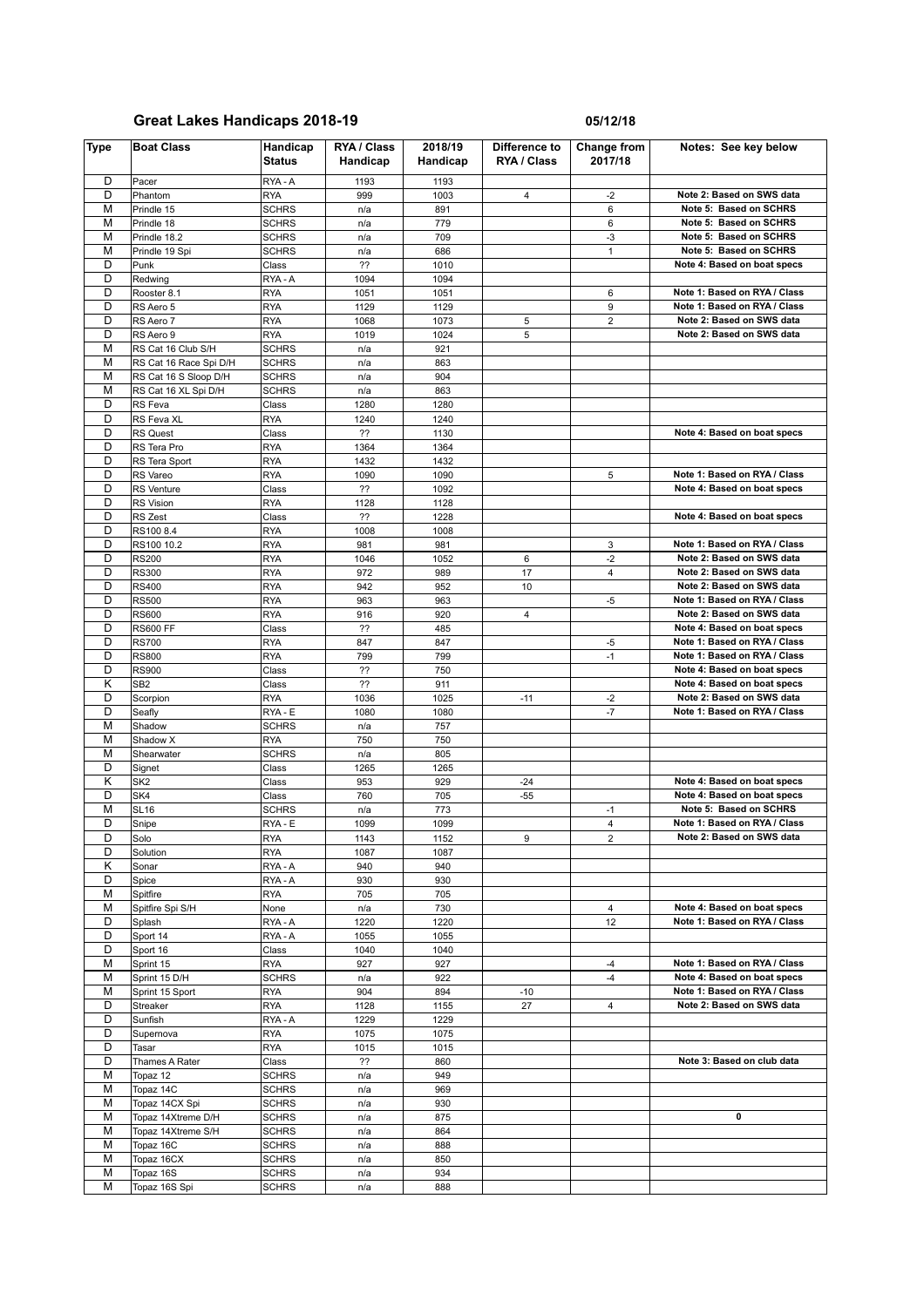| <b>Type</b> | <b>Boat Class</b>            | Handicap<br><b>Status</b> | RYA / Class<br>Handicap | 2018/19<br>Handicap | Difference to<br>RYA / Class | Change from<br>2017/18 | Notes: See key below                                      |
|-------------|------------------------------|---------------------------|-------------------------|---------------------|------------------------------|------------------------|-----------------------------------------------------------|
| D           | Pacer                        | RYA-A                     | 1193                    | 1193                |                              |                        |                                                           |
| D           | Phantom                      | <b>RYA</b>                | 999                     | 1003                | 4                            | $-2$                   | Note 2: Based on SWS data                                 |
| M           | Prindle 15                   | <b>SCHRS</b>              | n/a                     | 891                 |                              | 6                      | Note 5: Based on SCHRS                                    |
| M           | Prindle 18                   | <b>SCHRS</b>              | n/a                     | 779                 |                              | 6                      | Note 5: Based on SCHRS                                    |
| М           | Prindle 18.2                 | <b>SCHRS</b>              | n/a                     | 709                 |                              | -3                     | Note 5: Based on SCHRS                                    |
| M           | Prindle 19 Spi               | <b>SCHRS</b>              | n/a                     | 686                 |                              | $\mathbf{1}$           | Note 5: Based on SCHRS                                    |
| D           | Punk                         | Class                     | ??                      | 1010                |                              |                        | Note 4: Based on boat specs                               |
| D           | Redwing                      | RYA-A                     | 1094                    | 1094                |                              |                        |                                                           |
| D           | Rooster 8.1                  | <b>RYA</b>                | 1051                    | 1051                |                              | 6                      | Note 1: Based on RYA / Class                              |
| D<br>D      | RS Aero 5                    | <b>RYA</b>                | 1129                    | 1129                |                              | 9                      | Note 1: Based on RYA / Class<br>Note 2: Based on SWS data |
| D           | RS Aero 7<br>RS Aero 9       | <b>RYA</b><br><b>RYA</b>  | 1068                    | 1073<br>1024        | 5<br>5                       | $\overline{2}$         | Note 2: Based on SWS data                                 |
| М           | RS Cat 16 Club S/H           | <b>SCHRS</b>              | 1019<br>n/a             | 921                 |                              |                        |                                                           |
| M           | RS Cat 16 Race Spi D/H       | <b>SCHRS</b>              | n/a                     | 863                 |                              |                        |                                                           |
| М           | RS Cat 16 S Sloop D/H        | SCHRS                     | n/a                     | 904                 |                              |                        |                                                           |
| M           | RS Cat 16 XL Spi D/H         | <b>SCHRS</b>              | n/a                     | 863                 |                              |                        |                                                           |
| D           | RS Feva                      | Class                     | 1280                    | 1280                |                              |                        |                                                           |
| D           | RS Feva XL                   | <b>RYA</b>                | 1240                    | 1240                |                              |                        |                                                           |
| D           | RS Quest                     | Class                     | ??                      | 1130                |                              |                        | Note 4: Based on boat specs                               |
| D           | RS Tera Pro                  | <b>RYA</b>                | 1364                    | 1364                |                              |                        |                                                           |
| D           | RS Tera Sport                | <b>RYA</b>                | 1432                    | 1432                |                              |                        |                                                           |
| D           | RS Vareo                     | <b>RYA</b>                | 1090                    | 1090                |                              | 5                      | Note 1: Based on RYA / Class                              |
| D           | RS Venture                   | Class                     | ??                      | 1092                |                              |                        | Note 4: Based on boat specs                               |
| D           | RS Vision                    | <b>RYA</b>                | 1128                    | 1128                |                              |                        |                                                           |
| D           | RS Zest                      | Class                     | ??                      | 1228                |                              |                        | Note 4: Based on boat specs                               |
| D           | RS100 8.4                    | <b>RYA</b>                | 1008                    | 1008                |                              |                        |                                                           |
| D           | RS100 10.2                   | <b>RYA</b>                | 981                     | 981                 |                              | 3                      | Note 1: Based on RYA / Class                              |
| D           | <b>RS200</b>                 | <b>RYA</b>                | 1046                    | 1052                | 6                            | $-2$                   | Note 2: Based on SWS data                                 |
| D<br>D      | <b>RS300</b>                 | <b>RYA</b>                | 972                     | 989                 | 17                           | $\overline{4}$         | Note 2: Based on SWS data                                 |
| D           | <b>RS400</b><br><b>RS500</b> | <b>RYA</b><br><b>RYA</b>  | 942                     | 952                 | 10                           |                        | Note 2: Based on SWS data<br>Note 1: Based on RYA / Class |
| D           | <b>RS600</b>                 | <b>RYA</b>                | 963<br>916              | 963<br>920          | 4                            | $-5$                   | Note 2: Based on SWS data                                 |
| D           | <b>RS600 FF</b>              | Class                     | ??                      | 485                 |                              |                        | Note 4: Based on boat specs                               |
| D           | <b>RS700</b>                 | <b>RYA</b>                | 847                     | 847                 |                              | $-5$                   | Note 1: Based on RYA / Class                              |
| D           | <b>RS800</b>                 | <b>RYA</b>                | 799                     | 799                 |                              | $-1$                   | Note 1: Based on RYA / Class                              |
| D           | <b>RS900</b>                 | Class                     | ??                      | 750                 |                              |                        | Note 4: Based on boat specs                               |
| Κ           | SB <sub>2</sub>              | Class                     | ??                      | 911                 |                              |                        | Note 4: Based on boat specs                               |
| D           | Scorpion                     | <b>RYA</b>                | 1036                    | 1025                | $-11$                        | $-2$                   | Note 2: Based on SWS data                                 |
| D           | Seafly                       | RYA - E                   | 1080                    | 1080                |                              | $-7$                   | Note 1: Based on RYA / Class                              |
| M           | Shadow                       | <b>SCHRS</b>              | n/a                     | 757                 |                              |                        |                                                           |
| М           | Shadow X                     | <b>RYA</b>                | 750                     | 750                 |                              |                        |                                                           |
| M           | Shearwater                   | <b>SCHRS</b>              | n/a                     | 805                 |                              |                        |                                                           |
| D           | Signet                       | Class                     | 1265                    | 1265                |                              |                        |                                                           |
| Κ           | SK <sub>2</sub>              | Class                     | 953                     | 929                 | $-24$                        |                        | Note 4: Based on boat specs                               |
| D<br>М      | SK4<br><b>SL16</b>           | Class                     | 760                     | 705                 | $-55$                        |                        | Note 4: Based on boat specs<br>Note 5: Based on SCHRS     |
| D           | Snipe                        | SCHRS<br>RYA - E          | n/a<br>1099             | 773<br>1099         |                              | $-1$<br>$\overline{4}$ | Note 1: Based on RYA / Class                              |
| D           | Solo                         | <b>RYA</b>                | 1143                    | 1152                | 9                            | $\overline{2}$         | Note 2: Based on SWS data                                 |
| D           | Solution                     | <b>RYA</b>                | 1087                    | 1087                |                              |                        |                                                           |
| Κ           | Sonar                        | RYA - A                   | 940                     | 940                 |                              |                        |                                                           |
| D           | Spice                        | RYA-A                     | 930                     | 930                 |                              |                        |                                                           |
| М           | Spitfire                     | <b>RYA</b>                | 705                     | 705                 |                              |                        |                                                           |
| М           | Spitfire Spi S/H             | None                      | n/a                     | 730                 |                              | 4                      | Note 4: Based on boat specs                               |
| D           | Splash                       | RYA - A                   | 1220                    | 1220                |                              | 12                     | Note 1: Based on RYA / Class                              |
| D           | Sport 14                     | RYA - A                   | 1055                    | 1055                |                              |                        |                                                           |
| D           | Sport 16                     | Class                     | 1040                    | 1040                |                              |                        |                                                           |
| М           | Sprint 15                    | <b>RYA</b>                | 927                     | 927                 |                              | -4                     | Note 1: Based on RYA / Class                              |
| М           | Sprint 15 D/H                | <b>SCHRS</b>              | n/a                     | 922                 |                              | $-4$                   | Note 4: Based on boat specs                               |
| М           | Sprint 15 Sport              | <b>RYA</b>                | 904                     | 894                 | -10                          |                        | Note 1: Based on RYA / Class                              |
| D           | Streaker                     | <b>RYA</b>                | 1128                    | 1155                | 27                           | $\overline{4}$         | Note 2: Based on SWS data                                 |
| D<br>D      | Sunfish                      | RYA - A<br><b>RYA</b>     | 1229                    | 1229                |                              |                        |                                                           |
| D           | Supernova<br>Tasar           | <b>RYA</b>                | 1075<br>1015            | 1075<br>1015        |                              |                        |                                                           |
| D           | Thames A Rater               | Class                     | ??                      | 860                 |                              |                        | Note 3: Based on club data                                |
| М           | Topaz 12                     | SCHRS                     | n/a                     | 949                 |                              |                        |                                                           |
| М           | Topaz 14C                    | SCHRS                     | n/a                     | 969                 |                              |                        |                                                           |
| М           | Topaz 14CX Spi               | SCHRS                     | n/a                     | 930                 |                              |                        |                                                           |
| М           | Topaz 14Xtreme D/H           | SCHRS                     | n/a                     | 875                 |                              |                        | 0                                                         |
| М           | Topaz 14Xtreme S/H           | SCHRS                     | n/a                     | 864                 |                              |                        |                                                           |
| М           | Topaz 16C                    | SCHRS                     | n/a                     | 888                 |                              |                        |                                                           |
| М           | Topaz 16CX                   | <b>SCHRS</b>              | n/a                     | 850                 |                              |                        |                                                           |
| М           | Topaz 16S                    | SCHRS                     | n/a                     | 934                 |                              |                        |                                                           |
| М           | Topaz 16S Spi                | <b>SCHRS</b>              | n/a                     | 888                 |                              |                        |                                                           |